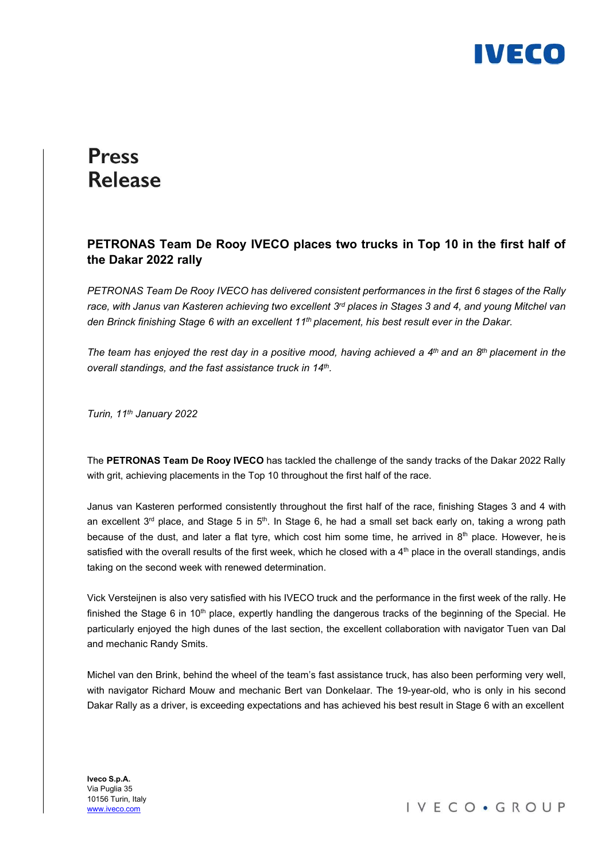

## **Press Release**

## PETRONAS Team De Rooy IVECO places two trucks in Top 10 in the first half of the Dakar 2022 rally

PETRONAS Team De Rooy IVECO has delivered consistent performances in the first 6 stages of the Rally race, with Janus van Kasteren achieving two excellent  $3<sup>rd</sup>$  places in Stages 3 and 4, and young Mitchel van den Brinck finishing Stage 6 with an excellent 11<sup>th</sup> placement, his best result ever in the Dakar.

The team has enjoyed the rest day in a positive mood, having achieved a  $4<sup>th</sup>$  and an  $8<sup>th</sup>$  placement in the overall standings, and the fast assistance truck in 14th.

Turin, 11<sup>th</sup> January 2022

The PETRONAS Team De Rooy IVECO has tackled the challenge of the sandy tracks of the Dakar 2022 Rally with grit, achieving placements in the Top 10 throughout the first half of the race.

Janus van Kasteren performed consistently throughout the first half of the race, finishing Stages 3 and 4 with an excellent  $3<sup>rd</sup>$  place, and Stage 5 in  $5<sup>th</sup>$ . In Stage 6, he had a small set back early on, taking a wrong path because of the dust, and later a flat tyre, which cost him some time, he arrived in 8<sup>th</sup> place. However, he is satisfied with the overall results of the first week, which he closed with a  $4<sup>th</sup>$  place in the overall standings, and is taking on the second week with renewed determination.

Vick Versteijnen is also very satisfied with his IVECO truck and the performance in the first week of the rally. He finished the Stage 6 in 10<sup>th</sup> place, expertly handling the dangerous tracks of the beginning of the Special. He particularly enjoyed the high dunes of the last section, the excellent collaboration with navigator Tuen van Dal and mechanic Randy Smits.

Michel van den Brink, behind the wheel of the team's fast assistance truck, has also been performing very well, with navigator Richard Mouw and mechanic Bert van Donkelaar. The 19-year-old, who is only in his second Dakar Rally as a driver, is exceeding expectations and has achieved his best result in Stage 6 with an excellent

Iveco S.p.A. Via Puglia 35 10156 Turin, Italy www.iveco.com